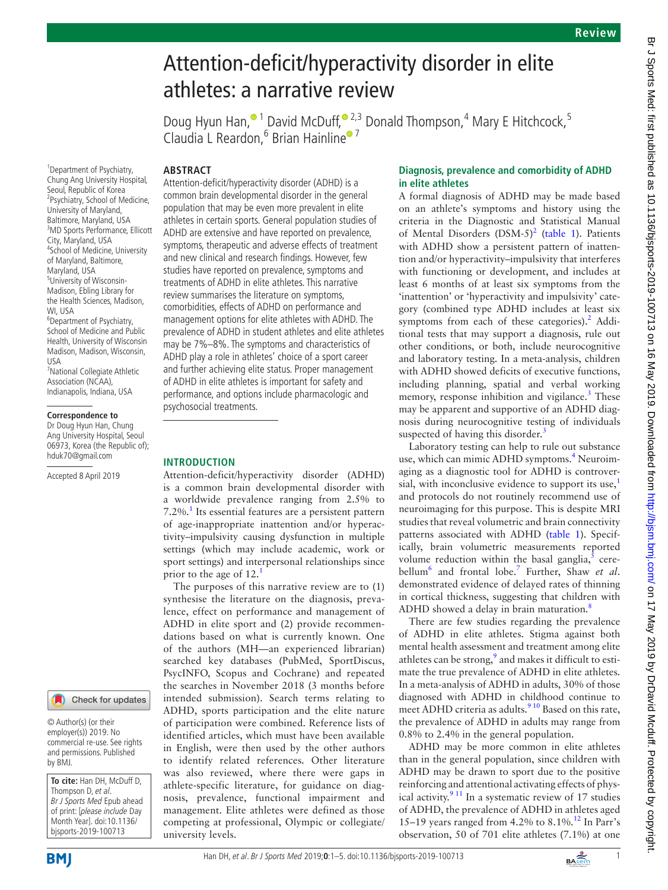# Attention-deficit/hyperactivity disorder in elite athletes: a narrative review

Doug Hyun Han,<sup>® 1</sup> David McDuff,<sup>® 2,3</sup> Donald Thompson,<sup>4</sup> Mary E Hitchcock,<sup>5</sup> Claudia L Reardon, <sup>6</sup> Brian Hainline<sup>® 7</sup>

# **Abstract**

<sup>1</sup> Department of Psychiatry, Chung Ang University Hospital, Seoul, Republic of Korea 2 Psychiatry, School of Medicine, University of Maryland, Baltimore, Maryland, USA 3 MD Sports Performance, Ellicott City, Maryland, USA 4 School of Medicine, University of Maryland, Baltimore, Maryland, USA 5 University of Wisconsin-Madison, Ebling Library for the Health Sciences, Madison, WI, USA <sup>6</sup>Department of Psychiatry, School of Medicine and Public Health, University of Wisconsin Madison, Madison, Wisconsin, USA 7 National Collegiate Athletic

Association (NCAA), Indianapolis, Indiana, USA

#### **Correspondence to**

Dr Doug Hyun Han, Chung Ang University Hospital, Seoul 06973, Korea (the Republic of); hduk70@gmail.com

Accepted 8 April 2019



© Author(s) (or their employer(s)) 2019. No commercial re-use. See rights and permissions. Published by BMJ.

**To cite:** Han DH, McDuff D, Thompson D, et al. Br J Sports Med Epub ahead of print: [please include Day Month Year]. doi:10.1136/ bjsports-2019-100713

Attention-deficit/hyperactivity disorder (ADHD) is a common brain developmental disorder in the general population that may be even more prevalent in elite athletes in certain sports. General population studies of ADHD are extensive and have reported on prevalence, symptoms, therapeutic and adverse effects of treatment and new clinical and research findings. However, few studies have reported on prevalence, symptoms and treatments of ADHD in elite athletes. This narrative review summarises the literature on symptoms, comorbidities, effects of ADHD on performance and management options for elite athletes with ADHD. The prevalence of ADHD in student athletes and elite athletes may be 7%–8%. The symptoms and characteristics of ADHD play a role in athletes' choice of a sport career and further achieving elite status. Proper management of ADHD in elite athletes is important for safety and performance, and options include pharmacologic and psychosocial treatments.

## **Introduction**

Attention-deficit/hyperactivity disorder (ADHD) is a common brain developmental disorder with a worldwide prevalence ranging from 2.5% to 7.2%.<sup>[1](#page-4-0)</sup> Its essential features are a persistent pattern of age-inappropriate inattention and/or hyperactivity–impulsivity causing dysfunction in multiple settings (which may include academic, work or sport settings) and interpersonal relationships since prior to the age of [1](#page-4-0)2.<sup>1</sup>

The purposes of this narrative review are to (1) synthesise the literature on the diagnosis, prevalence, effect on performance and management of ADHD in elite sport and (2) provide recommendations based on what is currently known. One of the authors (MH—an experienced librarian) searched key databases (PubMed, SportDiscus, PsycINFO, Scopus and Cochrane) and repeated the searches in November 2018 (3 months before intended submission). Search terms relating to ADHD, sports participation and the elite nature of participation were combined. Reference lists of identified articles, which must have been available in English, were then used by the other authors to identify related references. Other literature was also reviewed, where there were gaps in athlete-specific literature, for guidance on diagnosis, prevalence, functional impairment and management. Elite athletes were defined as those competing at professional, Olympic or collegiate/ university levels.

# **Diagnosis, prevalence and comorbidity of ADHD in elite athletes**

A formal diagnosis of ADHD may be made based on an athlete's symptoms and history using the criteria in the Diagnostic and Statistical Manual of Mental Disorders  $(DSM-5)^2$  $(DSM-5)^2$  [\(table](#page-1-0) 1). Patients with ADHD show a persistent pattern of inattention and/or hyperactivity–impulsivity that interferes with functioning or development, and includes at least 6 months of at least six symptoms from the 'inattention' or 'hyperactivity and impulsivity' category (combined type ADHD includes at least six symptoms from each of these categories).<sup>[2](#page-4-1)</sup> Additional tests that may support a diagnosis, rule out other conditions, or both, include neurocognitive and laboratory testing. In a meta-analysis, children with ADHD showed deficits of executive functions, including planning, spatial and verbal working memory, response inhibition and vigilance.<sup>3</sup> These may be apparent and supportive of an ADHD diagnosis during neurocognitive testing of individuals suspected of having this disorder.<sup>3</sup>

Laboratory testing can help to rule out substance use, which can mimic ADHD symptoms.<sup>4</sup> Neuroimaging as a diagnostic tool for ADHD is controversial, with inconclusive evidence to support its use, $<sup>1</sup>$  $<sup>1</sup>$  $<sup>1</sup>$ </sup> and protocols do not routinely recommend use of neuroimaging for this purpose. This is despite MRI studies that reveal volumetric and brain connectivity patterns associated with ADHD ([table](#page-1-0) 1). Specifically, brain volumetric measurements reported volume reduction within the basal ganglia, $<sup>5</sup>$  cere-</sup> bellum[6](#page-4-5) and frontal lobe.[7](#page-4-6) Further, Shaw *et al*. demonstrated evidence of delayed rates of thinning in cortical thickness, suggesting that children with ADHD showed a delay in brain maturation.<sup>[8](#page-5-0)</sup>

There are few studies regarding the prevalence of ADHD in elite athletes. Stigma against both mental health assessment and treatment among elite athletes can be strong, $9$  and makes it difficult to estimate the true prevalence of ADHD in elite athletes. In a meta-analysis of ADHD in adults, 30% of those diagnosed with ADHD in childhood continue to meet ADHD criteria as adults.<sup>9 10</sup> Based on this rate. the prevalence of ADHD in adults may range from 0.8% to 2.4% in the general population.

ADHD may be more common in elite athletes than in the general population, since children with ADHD may be drawn to sport due to the positive reinforcing and attentional activating effects of physical activity. $911$  In a systematic review of 17 studies of ADHD, the prevalence of ADHD in athletes aged 15–19 years ranged from 4.2% to  $8.1\%$ .<sup>[12](#page-5-2)</sup> In Parr's observation, 50 of 701 elite athletes (7.1%) at one

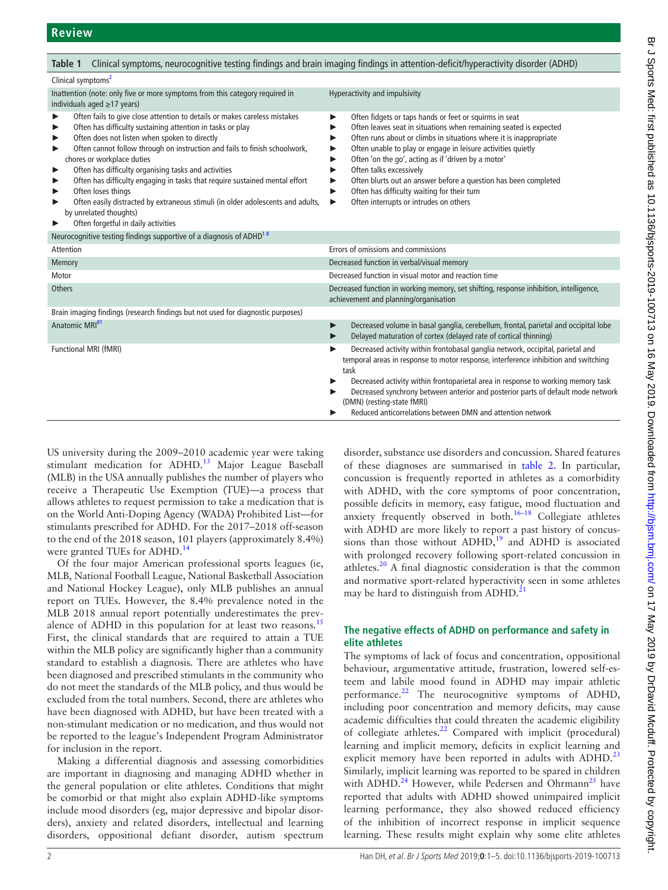<span id="page-1-0"></span>

| Table 1                                                                                                                                                                                                                                                                                                                                                                                                                                                                                                                                                                                                               | Clinical symptoms, neurocognitive testing findings and brain imaging findings in attention-deficit/hyperactivity disorder (ADHD)                                                                                                                                                                                                                                                                                                                                                                                                                        |  |
|-----------------------------------------------------------------------------------------------------------------------------------------------------------------------------------------------------------------------------------------------------------------------------------------------------------------------------------------------------------------------------------------------------------------------------------------------------------------------------------------------------------------------------------------------------------------------------------------------------------------------|---------------------------------------------------------------------------------------------------------------------------------------------------------------------------------------------------------------------------------------------------------------------------------------------------------------------------------------------------------------------------------------------------------------------------------------------------------------------------------------------------------------------------------------------------------|--|
| Clinical symptoms <sup>2</sup>                                                                                                                                                                                                                                                                                                                                                                                                                                                                                                                                                                                        |                                                                                                                                                                                                                                                                                                                                                                                                                                                                                                                                                         |  |
| Inattention (note: only five or more symptoms from this category required in<br>individuals aged $\geq$ 17 years)                                                                                                                                                                                                                                                                                                                                                                                                                                                                                                     | Hyperactivity and impulsivity                                                                                                                                                                                                                                                                                                                                                                                                                                                                                                                           |  |
| Often fails to give close attention to details or makes careless mistakes<br>Often has difficulty sustaining attention in tasks or play<br>Often does not listen when spoken to directly<br>Often cannot follow through on instruction and fails to finish schoolwork,<br>chores or workplace duties<br>Often has difficulty organising tasks and activities<br>Often has difficulty engaging in tasks that require sustained mental effort<br>Often loses things<br>Often easily distracted by extraneous stimuli (in older adolescents and adults,<br>by unrelated thoughts)<br>Often forgetful in daily activities | Often fidgets or taps hands or feet or squirms in seat<br>▶<br>Often leaves seat in situations when remaining seated is expected<br>▶<br>Often runs about or climbs in situations where it is inappropriate<br>▶<br>Often unable to play or engage in leisure activities quietly<br>▶<br>Often 'on the go', acting as if 'driven by a motor'<br>▶<br>Often talks excessively<br>Often blurts out an answer before a question has been completed<br>▶<br>Often has difficulty waiting for their turn<br>▶<br>Often interrupts or intrudes on others<br>▶ |  |
| Neurocognitive testing findings supportive of a diagnosis of ADHD <sup>18</sup>                                                                                                                                                                                                                                                                                                                                                                                                                                                                                                                                       |                                                                                                                                                                                                                                                                                                                                                                                                                                                                                                                                                         |  |
| Attention                                                                                                                                                                                                                                                                                                                                                                                                                                                                                                                                                                                                             | Errors of omissions and commissions                                                                                                                                                                                                                                                                                                                                                                                                                                                                                                                     |  |
| Memory                                                                                                                                                                                                                                                                                                                                                                                                                                                                                                                                                                                                                | Decreased function in verbal/visual memory                                                                                                                                                                                                                                                                                                                                                                                                                                                                                                              |  |
| Motor                                                                                                                                                                                                                                                                                                                                                                                                                                                                                                                                                                                                                 | Decreased function in visual motor and reaction time                                                                                                                                                                                                                                                                                                                                                                                                                                                                                                    |  |
| <b>Others</b>                                                                                                                                                                                                                                                                                                                                                                                                                                                                                                                                                                                                         | Decreased function in working memory, set shifting, response inhibition, intelligence,<br>achievement and planning/organisation                                                                                                                                                                                                                                                                                                                                                                                                                         |  |
| Brain imaging findings (research findings but not used for diagnostic purposes)                                                                                                                                                                                                                                                                                                                                                                                                                                                                                                                                       |                                                                                                                                                                                                                                                                                                                                                                                                                                                                                                                                                         |  |
| Anatomic MRI <sup>81</sup>                                                                                                                                                                                                                                                                                                                                                                                                                                                                                                                                                                                            | Decreased volume in basal ganglia, cerebellum, frontal, parietal and occipital lobe<br>▶<br>Delayed maturation of cortex (delayed rate of cortical thinning)                                                                                                                                                                                                                                                                                                                                                                                            |  |
| Functional MRI (fMRI)                                                                                                                                                                                                                                                                                                                                                                                                                                                                                                                                                                                                 | Decreased activity within frontobasal ganglia network, occipital, parietal and<br>temporal areas in response to motor response, interference inhibition and switching<br>task<br>Decreased activity within frontoparietal area in response to working memory task<br>Decreased synchrony between anterior and posterior parts of default mode network<br>(DMN) (resting-state fMRI)<br>Reduced anticorrelations between DMN and attention network                                                                                                       |  |

US university during the 2009–2010 academic year were taking stimulant medication for ADHD.<sup>13</sup> Major League Baseball (MLB) in the USA annually publishes the number of players who receive a Therapeutic Use Exemption (TUE)—a process that allows athletes to request permission to take a medication that is on the World Anti-Doping Agency (WADA) Prohibited List—for stimulants prescribed for ADHD. For the 2017–2018 off-season to the end of the 2018 season, 101 players (approximately 8.4%) were granted TUEs for ADHD.<sup>[14](#page-5-4)</sup>

Of the four major American professional sports leagues (ie, MLB, National Football League, National Basketball Association and National Hockey League), only MLB publishes an annual report on TUEs. However, the 8.4% prevalence noted in the MLB 2018 annual report potentially underestimates the prev-alence of ADHD in this population for at least two reasons.<sup>[15](#page-5-5)</sup> First, the clinical standards that are required to attain a TUE within the MLB policy are significantly higher than a community standard to establish a diagnosis. There are athletes who have been diagnosed and prescribed stimulants in the community who do not meet the standards of the MLB policy, and thus would be excluded from the total numbers. Second, there are athletes who have been diagnosed with ADHD, but have been treated with a non-stimulant medication or no medication, and thus would not be reported to the league's Independent Program Administrator for inclusion in the report.

Making a differential diagnosis and assessing comorbidities are important in diagnosing and managing ADHD whether in the general population or elite athletes. Conditions that might be comorbid or that might also explain ADHD-like symptoms include mood disorders (eg, major depressive and bipolar disorders), anxiety and related disorders, intellectual and learning disorders, oppositional defiant disorder, autism spectrum

disorder, substance use disorders and concussion. Shared features of these diagnoses are summarised in [table](#page-2-0) 2. In particular, concussion is frequently reported in athletes as a comorbidity with ADHD, with the core symptoms of poor concentration, possible deficits in memory, easy fatigue, mood fluctuation and anxiety frequently observed in both. $16-18$  Collegiate athletes with ADHD are more likely to report a past history of concussions than those without  $ADHD$ ,<sup>19</sup> and  $ADHD$  is associated with prolonged recovery following sport-related concussion in athletes.[20](#page-5-8) A final diagnostic consideration is that the common and normative sport-related hyperactivity seen in some athletes may be hard to distinguish from ADHD.<sup>[21](#page-5-9)</sup>

# **The negative effects of ADHD on performance and safety in elite athletes**

The symptoms of lack of focus and concentration, oppositional behaviour, argumentative attitude, frustration, lowered self-esteem and labile mood found in ADHD may impair athletic performance. $^{22}$  The neurocognitive symptoms of ADHD, including poor concentration and memory deficits, may cause academic difficulties that could threaten the academic eligibility of collegiate athletes. $^{22}$  Compared with implicit (procedural) learning and implicit memory, deficits in explicit learning and explicit memory have been reported in adults with ADHD.<sup>[23](#page-5-11)</sup> Similarly, implicit learning was reported to be spared in children with ADHD.<sup>24</sup> However, while Pedersen and Ohrmann<sup>25</sup> have reported that adults with ADHD showed unimpaired implicit learning performance, they also showed reduced efficiency of the inhibition of incorrect response in implicit sequence learning. These results might explain why some elite athletes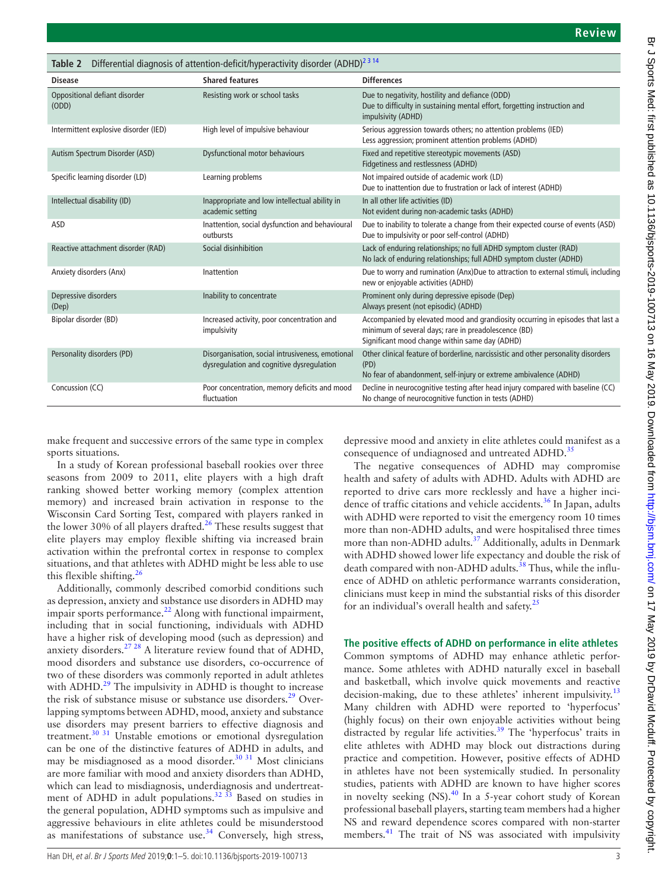<span id="page-2-0"></span>

| Differential diagnosis of attention-deficit/hyperactivity disorder (ADHD) <sup>2314</sup><br>Table 2 |                                                                                               |                                                                                                                                                                                          |
|------------------------------------------------------------------------------------------------------|-----------------------------------------------------------------------------------------------|------------------------------------------------------------------------------------------------------------------------------------------------------------------------------------------|
| <b>Disease</b>                                                                                       | <b>Shared features</b>                                                                        | <b>Differences</b>                                                                                                                                                                       |
| Oppositional defiant disorder<br>(ODD)                                                               | Resisting work or school tasks                                                                | Due to negativity, hostility and defiance (ODD)<br>Due to difficulty in sustaining mental effort, forgetting instruction and<br>impulsivity (ADHD)                                       |
| Intermittent explosive disorder (IED)                                                                | High level of impulsive behaviour                                                             | Serious aggression towards others; no attention problems (IED)<br>Less aggression; prominent attention problems (ADHD)                                                                   |
| Autism Spectrum Disorder (ASD)                                                                       | <b>Dysfunctional motor behaviours</b>                                                         | Fixed and repetitive stereotypic movements (ASD)<br>Fidgetiness and restlessness (ADHD)                                                                                                  |
| Specific learning disorder (LD)                                                                      | Learning problems                                                                             | Not impaired outside of academic work (LD)<br>Due to inattention due to frustration or lack of interest (ADHD)                                                                           |
| Intellectual disability (ID)                                                                         | Inappropriate and low intellectual ability in<br>academic setting                             | In all other life activities (ID)<br>Not evident during non-academic tasks (ADHD)                                                                                                        |
| ASD                                                                                                  | Inattention, social dysfunction and behavioural<br>outbursts                                  | Due to inability to tolerate a change from their expected course of events (ASD)<br>Due to impulsivity or poor self-control (ADHD)                                                       |
| Reactive attachment disorder (RAD)                                                                   | Social disinhibition                                                                          | Lack of enduring relationships; no full ADHD symptom cluster (RAD)<br>No lack of enduring relationships; full ADHD symptom cluster (ADHD)                                                |
| Anxiety disorders (Anx)                                                                              | Inattention                                                                                   | Due to worry and rumination (Anx)Due to attraction to external stimuli, including<br>new or enjoyable activities (ADHD)                                                                  |
| Depressive disorders<br>(Dep)                                                                        | Inability to concentrate                                                                      | Prominent only during depressive episode (Dep)<br>Always present (not episodic) (ADHD)                                                                                                   |
| Bipolar disorder (BD)                                                                                | Increased activity, poor concentration and<br>impulsivity                                     | Accompanied by elevated mood and grandiosity occurring in episodes that last a<br>minimum of several days; rare in preadolescence (BD)<br>Significant mood change within same day (ADHD) |
| Personality disorders (PD)                                                                           | Disorganisation, social intrusiveness, emotional<br>dysregulation and cognitive dysregulation | Other clinical feature of borderline, narcissistic and other personality disorders<br>(PD)<br>No fear of abandonment, self-injury or extreme ambivalence (ADHD)                          |
| Concussion (CC)                                                                                      | Poor concentration, memory deficits and mood<br>fluctuation                                   | Decline in neurocognitive testing after head injury compared with baseline (CC)<br>No change of neurocognitive function in tests (ADHD)                                                  |

make frequent and successive errors of the same type in complex sports situations.

In a study of Korean professional baseball rookies over three seasons from 2009 to 2011, elite players with a high draft ranking showed better working memory (complex attention memory) and increased brain activation in response to the Wisconsin Card Sorting Test, compared with players ranked in the lower 30% of all players drafted.<sup>[26](#page-5-14)</sup> These results suggest that elite players may employ flexible shifting via increased brain activation within the prefrontal cortex in response to complex situations, and that athletes with ADHD might be less able to use this flexible shifting.<sup>[26](#page-5-14)</sup>

Additionally, commonly described comorbid conditions such as depression, anxiety and substance use disorders in ADHD may impair sports performance. $^{22}$  Along with functional impairment, including that in social functioning, individuals with ADHD have a higher risk of developing mood (such as depression) and anxiety disorders.<sup>27</sup> <sup>28</sup> A literature review found that of ADHD, mood disorders and substance use disorders, co-occurrence of two of these disorders was commonly reported in adult athletes with ADHD.<sup>29</sup> The impulsivity in ADHD is thought to increase the risk of substance misuse or substance use disorders.<sup>29</sup> Overlapping symptoms between ADHD, mood, anxiety and substance use disorders may present barriers to effective diagnosis and treatment.[30 31](#page-5-17) Unstable emotions or emotional dysregulation can be one of the distinctive features of ADHD in adults, and may be misdiagnosed as a mood disorder.<sup>[30 31](#page-5-17)</sup> Most clinicians are more familiar with mood and anxiety disorders than ADHD, which can lead to misdiagnosis, underdiagnosis and undertreatment of ADHD in adult populations.<sup>32</sup> 33 Based on studies in the general population, ADHD symptoms such as impulsive and aggressive behaviours in elite athletes could be misunderstood as manifestations of substance use.<sup>34</sup> Conversely, high stress,

depressive mood and anxiety in elite athletes could manifest as a consequence of undiagnosed and untreated ADHD.<sup>[35](#page-5-20)</sup>

The negative consequences of ADHD may compromise health and safety of adults with ADHD. Adults with ADHD are reported to drive cars more recklessly and have a higher inci-dence of traffic citations and vehicle accidents.<sup>[36](#page-5-21)</sup> In Japan, adults with ADHD were reported to visit the emergency room 10 times more than non-ADHD adults, and were hospitalised three times more than non-ADHD adults.<sup>37</sup> Additionally, adults in Denmark with ADHD showed lower life expectancy and double the risk of death compared with non-ADHD adults.<sup>[38](#page-5-23)</sup> Thus, while the influence of ADHD on athletic performance warrants consideration, clinicians must keep in mind the substantial risks of this disorder for an individual's overall health and safety.[25](#page-5-13)

## **The positive effects of ADHD on performance in elite athletes**

Common symptoms of ADHD may enhance athletic performance. Some athletes with ADHD naturally excel in baseball and basketball, which involve quick movements and reactive decision-making, due to these athletes' inherent impulsivity.<sup>[13](#page-5-3)</sup> Many children with ADHD were reported to 'hyperfocus' (highly focus) on their own enjoyable activities without being distracted by regular life activities.<sup>39</sup> The 'hyperfocus' traits in elite athletes with ADHD may block out distractions during practice and competition. However, positive effects of ADHD in athletes have not been systemically studied. In personality studies, patients with ADHD are known to have higher scores in novelty seeking  $(NS).<sup>40</sup>$  In a 5-year cohort study of Korean professional baseball players, starting team members had a higher NS and reward dependence scores compared with non-starter members.[41](#page-5-26) The trait of NS was associated with impulsivity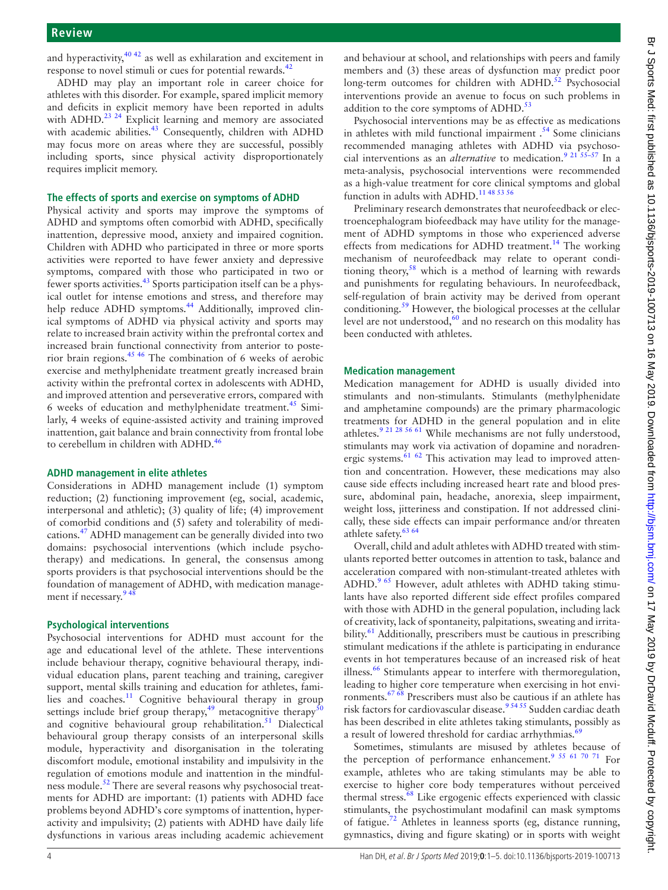and hyperactivity, $40\frac{42}{3}$  as well as exhilaration and excitement in response to novel stimuli or cues for potential rewards.<sup>[42](#page-5-27)</sup>

ADHD may play an important role in career choice for athletes with this disorder. For example, spared implicit memory and deficits in explicit memory have been reported in adults with ADHD.<sup>23 24</sup> Explicit learning and memory are associated with academic abilities.<sup>[43](#page-5-28)</sup> Consequently, children with ADHD may focus more on areas where they are successful, possibly including sports, since physical activity disproportionately requires implicit memory.

#### **The effects of sports and exercise on symptoms of ADHD**

Physical activity and sports may improve the symptoms of ADHD and symptoms often comorbid with ADHD, specifically inattention, depressive mood, anxiety and impaired cognition. Children with ADHD who participated in three or more sports activities were reported to have fewer anxiety and depressive symptoms, compared with those who participated in two or fewer sports activities.<sup>43</sup> Sports participation itself can be a physical outlet for intense emotions and stress, and therefore may help reduce ADHD symptoms.<sup>44</sup> Additionally, improved clinical symptoms of ADHD via physical activity and sports may relate to increased brain activity within the prefrontal cortex and increased brain functional connectivity from anterior to posterior brain regions.[45 46](#page-5-30) The combination of 6 weeks of aerobic exercise and methylphenidate treatment greatly increased brain activity within the prefrontal cortex in adolescents with ADHD, and improved attention and perseverative errors, compared with 6 weeks of education and methylphenidate treatment.<sup>45</sup> Similarly, 4 weeks of equine-assisted activity and training improved inattention, gait balance and brain connectivity from frontal lobe to cerebellum in children with ADHD.<sup>46</sup>

#### **ADHD management in elite athletes**

Considerations in ADHD management include (1) symptom reduction; (2) functioning improvement (eg, social, academic, interpersonal and athletic); (3) quality of life; (4) improvement of comorbid conditions and (5) safety and tolerability of medications.[47](#page-5-32) ADHD management can be generally divided into two domains: psychosocial interventions (which include psychotherapy) and medications. In general, the consensus among sports providers is that psychosocial interventions should be the foundation of management of ADHD, with medication management if necessary.<sup>948</sup>

#### **Psychological interventions**

Psychosocial interventions for ADHD must account for the age and educational level of the athlete. These interventions include behaviour therapy, cognitive behavioural therapy, individual education plans, parent teaching and training, caregiver support, mental skills training and education for athletes, families and coaches.[11](#page-5-33) Cognitive behavioural therapy in group settings include brief group therapy,<sup>49</sup> metacognitive therapy $\frac{50}{9}$  $\frac{50}{9}$  $\frac{50}{9}$ and cognitive behavioural group rehabilitation.<sup>51</sup> Dialectical behavioural group therapy consists of an interpersonal skills module, hyperactivity and disorganisation in the tolerating discomfort module, emotional instability and impulsivity in the regulation of emotions module and inattention in the mindful-ness module.<sup>[52](#page-5-37)</sup> There are several reasons why psychosocial treatments for ADHD are important: (1) patients with ADHD face problems beyond ADHD's core symptoms of inattention, hyperactivity and impulsivity; (2) patients with ADHD have daily life dysfunctions in various areas including academic achievement

and behaviour at school, and relationships with peers and family members and (3) these areas of dysfunction may predict poor long-term outcomes for children with ADHD. $52$  Psychosocial interventions provide an avenue to focus on such problems in addition to the core symptoms of ADHD. $53$ 

Psychosocial interventions may be as effective as medications in athletes with mild functional impairment  $.54$  $.54$  Some clinicians recommended managing athletes with ADHD via psychosocial interventions as an *alternative* to medication.<sup>9 21 55–57</sup> In a meta-analysis, psychosocial interventions were recommended as a high-value treatment for core clinical symptoms and global function in adults with ADHD.<sup>[11 48 53 56](#page-5-33)</sup>

Preliminary research demonstrates that neurofeedback or electroencephalogram biofeedback may have utility for the management of ADHD symptoms in those who experienced adverse effects from medications for ADHD treatment.<sup>[14](#page-5-4)</sup> The working mechanism of neurofeedback may relate to operant conditioning theory, $58$  which is a method of learning with rewards and punishments for regulating behaviours. In neurofeedback, self-regulation of brain activity may be derived from operant conditioning[.59](#page-5-41) However, the biological processes at the cellular level are not understood, $60$  and no research on this modality has been conducted with athletes.

#### **Medication management**

Medication management for ADHD is usually divided into stimulants and non-stimulants. Stimulants (methylphenidate and amphetamine compounds) are the primary pharmacologic treatments for ADHD in the general population and in elite athletes[.9 21 28 56 61](#page-5-1) While mechanisms are not fully understood, stimulants may work via activation of dopamine and noradren-ergic systems.<sup>[61](#page-5-43) 62</sup> This activation may lead to improved attention and concentration. However, these medications may also cause side effects including increased heart rate and blood pressure, abdominal pain, headache, anorexia, sleep impairment, weight loss, jitteriness and constipation. If not addressed clinically, these side effects can impair performance and/or threaten athlete safety.<sup>63</sup> <sup>64</sup>

Overall, child and adult athletes with ADHD treated with stimulants reported better outcomes in attention to task, balance and acceleration compared with non-stimulant-treated athletes with ADHD.<sup>[9 65](#page-5-1)</sup> However, adult athletes with ADHD taking stimulants have also reported different side effect profiles compared with those with ADHD in the general population, including lack of creativity, lack of spontaneity, palpitations, sweating and irrita-bility.<sup>[61](#page-5-43)</sup> Additionally, prescribers must be cautious in prescribing stimulant medications if the athlete is participating in endurance events in hot temperatures because of an increased risk of heat illness.<sup>[66](#page-5-46)</sup> Stimulants appear to interfere with thermoregulation, leading to higher core temperature when exercising in hot environments.<sup>67  $\overline{68}$ </sup> Prescribers must also be cautious if an athlete has risk factors for cardiovascular disease.<sup>95455</sup> Sudden cardiac death has been described in elite athletes taking stimulants, possibly as a result of lowered threshold for cardiac arrhythmias.<sup>[69](#page-6-1)</sup>

Sometimes, stimulants are misused by athletes because of the perception of performance enhancement.<sup>9 55 61 70 71</sup> For example, athletes who are taking stimulants may be able to exercise to higher core body temperatures without perceived thermal stress.<sup>[68](#page-5-48)</sup> Like ergogenic effects experienced with classic stimulants, the psychostimulant modafinil can mask symptoms of fatigue.<sup>72</sup> Athletes in leanness sports (eg, distance running, gymnastics, diving and figure skating) or in sports with weight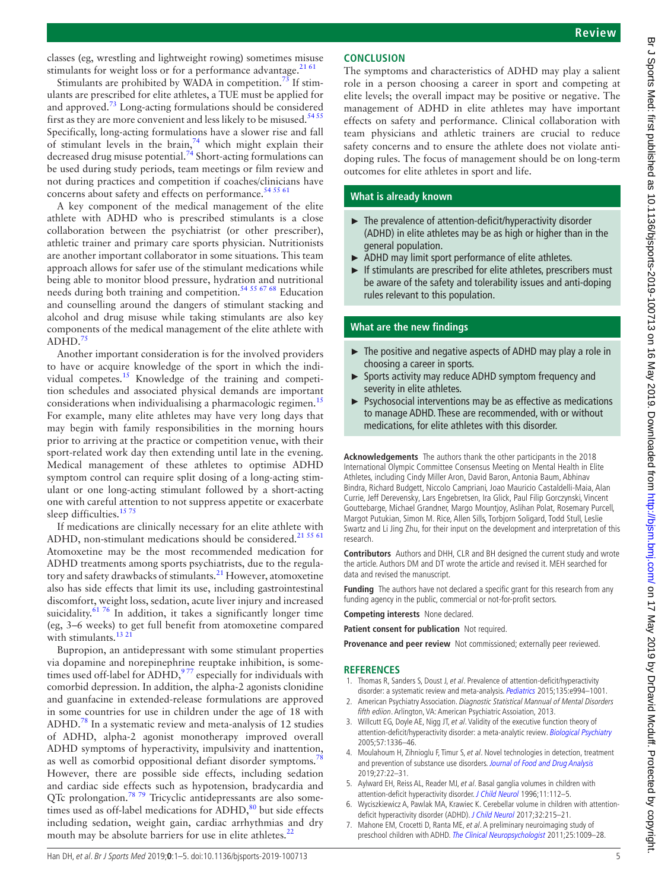classes (eg, wrestling and lightweight rowing) sometimes misuse stimulants for weight loss or for a performance advantage. $2161$ 

Stimulants are prohibited by WADA in competition.<sup>[73](#page-6-3)</sup> If stimulants are prescribed for elite athletes, a TUE must be applied for and approved.[73](#page-6-3) Long-acting formulations should be considered first as they are more convenient and less likely to be misused.<sup>54 5</sup> Specifically, long-acting formulations have a slower rise and fall of stimulant levels in the brain, $74$  which might explain their decreased drug misuse potential.<sup>74</sup> Short-acting formulations can be used during study periods, team meetings or film review and not during practices and competition if coaches/clinicians have concerns about safety and effects on performance.<sup>54 55 61</sup>

A key component of the medical management of the elite athlete with ADHD who is prescribed stimulants is a close collaboration between the psychiatrist (or other prescriber), athletic trainer and primary care sports physician. Nutritionists are another important collaborator in some situations. This team approach allows for safer use of the stimulant medications while being able to monitor blood pressure, hydration and nutritional needs during both training and competition.[54 55 67 68](#page-5-39) Education and counselling around the dangers of stimulant stacking and alcohol and drug misuse while taking stimulants are also key components of the medical management of the elite athlete with  $ADHD.<sup>7</sup>$ 

Another important consideration is for the involved providers to have or acquire knowledge of the sport in which the individual competes.[15](#page-5-5) Knowledge of the training and competition schedules and associated physical demands are important considerations when individualising a pharmacologic regimen.<sup>[15](#page-5-5)</sup> For example, many elite athletes may have very long days that may begin with family responsibilities in the morning hours prior to arriving at the practice or competition venue, with their sport-related work day then extending until late in the evening. Medical management of these athletes to optimise ADHD symptom control can require split dosing of a long-acting stimulant or one long-acting stimulant followed by a short-acting one with careful attention to not suppress appetite or exacerbate sleep difficulties.<sup>1575</sup>

If medications are clinically necessary for an elite athlete with ADHD, non-stimulant medications should be considered.<sup>[21 55 61](#page-5-9)</sup> Atomoxetine may be the most recommended medication for ADHD treatments among sports psychiatrists, due to the regulatory and safety drawbacks of stimulants.<sup>21</sup> However, atomoxetine also has side effects that limit its use, including gastrointestinal discomfort, weight loss, sedation, acute liver injury and increased suicidality. $6176$  In addition, it takes a significantly longer time (eg, 3–6 weeks) to get full benefit from atomoxetine compared with stimulants.<sup>[13 21](#page-5-3)</sup>

Bupropion, an antidepressant with some stimulant properties via dopamine and norepinephrine reuptake inhibition, is sometimes used off-label for  $ADHD$ ,  $977$  especially for individuals with comorbid depression. In addition, the alpha-2 agonists clonidine and guanfacine in extended-release formulations are approved in some countries for use in children under the age of 18 with ADHD.[78](#page-6-6) In a systematic review and meta-analysis of 12 studies of ADHD, alpha-2 agonist monotherapy improved overall ADHD symptoms of hyperactivity, impulsivity and inattention, as well as comorbid oppositional defiant disorder symptoms.<sup>7</sup> However, there are possible side effects, including sedation and cardiac side effects such as hypotension, bradycardia and QTc prolongation.[78 79](#page-6-6) Tricyclic antidepressants are also sometimes used as off-label medications for  $ADHD$ ,  $80$  but side effects including sedation, weight gain, cardiac arrhythmias and dry mouth may be absolute barriers for use in elite athletes.<sup>[22](#page-5-10)</sup>

# **Conclusion**

The symptoms and characteristics of ADHD may play a salient role in a person choosing a career in sport and competing at elite levels; the overall impact may be positive or negative. The management of ADHD in elite athletes may have important effects on safety and performance. Clinical collaboration with team physicians and athletic trainers are crucial to reduce safety concerns and to ensure the athlete does not violate antidoping rules. The focus of management should be on long-term outcomes for elite athletes in sport and life.

## **What is already known**

- ► The prevalence of attention-deficit/hyperactivity disorder (ADHD) in elite athletes may be as high or higher than in the general population.
- ADHD may limit sport performance of elite athletes.
- ► If stimulants are prescribed for elite athletes, prescribers must be aware of the safety and tolerability issues and anti-doping rules relevant to this population.

## **What are the new findings**

- ► The positive and negative aspects of ADHD may play a role in choosing a career in sports.
- ► Sports activity may reduce ADHD symptom frequency and severity in elite athletes.
- ► Psychosocial interventions may be as effective as medications to manage ADHD. These are recommended, with or without medications, for elite athletes with this disorder.

**Acknowledgements** The authors thank the other participants in the 2018 International Olympic Committee Consensus Meeting on Mental Health in Elite Athletes, including Cindy Miller Aron, David Baron, Antonia Baum, Abhinav Bindra, Richard Budgett, Niccolo Campriani, Joao Mauricio Castaldelli-Maia, Alan Currie, Jeff Derevensky, Lars Engebretsen, Ira Glick, Paul Filip Gorczynski, Vincent Gouttebarge, Michael Grandner, Margo Mountjoy, Aslihan Polat, Rosemary Purcell, Margot Putukian, Simon M. Rice, Allen Sills, Torbjorn Soligard, Todd Stull, Leslie Swartz and Li Jing Zhu, for their input on the development and interpretation of this research.

**Contributors** Authors and DHH, CLR and BH designed the current study and wrote the article. Authors DM and DT wrote the article and revised it. MEH searched for data and revised the manuscript.

**Funding** The authors have not declared a specific grant for this research from any funding agency in the public, commercial or not-for-profit sectors.

**Competing interests** None declared.

**Patient consent for publication** Not required.

**Provenance and peer review** Not commissioned; externally peer reviewed.

#### **References**

- <span id="page-4-0"></span>1. Thomas R, Sanders S, Doust J, et al. Prevalence of attention-deficit/hyperactivity disorder: a systematic review and meta-analysis. [Pediatrics](http://dx.doi.org/10.1542/peds.2014-3482) 2015;135:e994-1001.
- <span id="page-4-1"></span>2. American Psychiatry Association. Diagnostic Statistical Mannual of Mental Disorders fifth ediion. Arlington, VA: American Psychiatric Assoiation, 2013.
- <span id="page-4-2"></span>3. Willcutt EG, Doyle AE, Nigg JT, et al. Validity of the executive function theory of attention-deficit/hyperactivity disorder: a meta-analytic review. [Biological Psychiatry](http://dx.doi.org/10.1016/j.biopsych.2005.02.006) 2005;57:1336–46.
- <span id="page-4-3"></span>4. Moulahoum H, Zihnioglu F, Timur S, et al. Novel technologies in detection, treatment and prevention of substance use disorders. [Journal of Food and Drug Analysis](http://dx.doi.org/10.1016/j.jfda.2018.09.003) 2019;27:22–31.
- <span id="page-4-4"></span>5. Aylward EH, Reiss AL, Reader MJ, et al. Basal ganglia volumes in children with attention-deficit hyperactivity disorder. [J Child Neurol](http://dx.doi.org/10.1177/088307389601100210) 1996;11:112-5.
- <span id="page-4-5"></span>6. Wyciszkiewicz A, Pawlak MA, Krawiec K. Cerebellar volume in children with attention-deficit hyperactivity disorder (ADHD). [J Child Neurol](http://dx.doi.org/10.1177/0883073816678550) 2017;32:215-21.
- <span id="page-4-6"></span>7. Mahone EM, Crocetti D, Ranta ME, et al. A preliminary neuroimaging study of preschool children with ADHD. [The Clinical Neuropsychologist](http://dx.doi.org/10.1080/13854046.2011.580784) 2011;25:1009-28.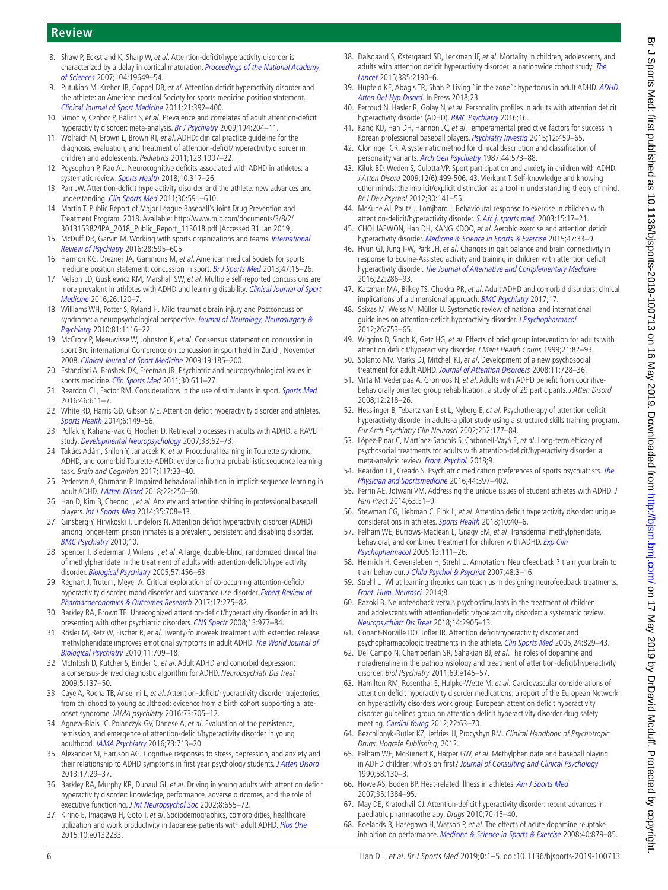# **Review**

- <span id="page-5-0"></span>8. Shaw P, Eckstrand K, Sharp W, et al. Attention-deficit/hyperactivity disorder is characterized by a delay in cortical maturation. Proceedings of the National Academy [of Sciences](http://dx.doi.org/10.1073/pnas.0707741104) 2007;104:19649–54.
- <span id="page-5-1"></span>9. Putukian M, Kreher JB, Coppel DB, et al. Attention deficit hyperactivity disorder and the athlete: an American medical Society for sports medicine position statement. [Clinical Journal of Sport Medicine](http://dx.doi.org/10.1097/JSM.0b013e3182262eb1) 2011;21:392–400.
- 10. Simon V, Czobor P, Bálint S, et al. Prevalence and correlates of adult attention-deficit hyperactivity disorder: meta-analysis. [Br J Psychiatry](http://dx.doi.org/10.1192/bjp.bp.107.048827) 2009;194:204-11.
- <span id="page-5-33"></span>11. Wolraich M, Brown L, Brown RT, et al. ADHD: clinical practice guideline for the diagnosis, evaluation, and treatment of attention-deficit/hyperactivity disorder in children and adolescents. Pediatrics 2011;128:1007–22.
- <span id="page-5-2"></span>12. Poysophon P, Rao AL. Neurocognitive deficits associated with ADHD in athletes: a systematic review. [Sports Health](http://dx.doi.org/10.1177/1941738117751387) 2018;10:317–26.
- <span id="page-5-3"></span>13. Parr JW. Attention-deficit hyperactivity disorder and the athlete: new advances and understanding. [Clin Sports Med](http://dx.doi.org/10.1016/j.csm.2011.03.007) 2011;30:591–610.
- <span id="page-5-4"></span>14. Martin T. Public Report of Major League Baseball's Joint Drug Prevention and Treatment Program, 2018. Available: [http://www.mlb.com/documents/3/8/2/](http://www.mlb.com/documents/3/8/2/301315382/IPA_2018_Public_Report_113018.pdf) [301315382/IPA\\_2018\\_Public\\_Report\\_113018.pdf](http://www.mlb.com/documents/3/8/2/301315382/IPA_2018_Public_Report_113018.pdf) [Accessed 31 Jan 2019].
- <span id="page-5-5"></span>15. McDuff DR, Garvin M. Working with sports organizations and teams. International [Review of Psychiatry](http://dx.doi.org/10.1080/09540261.2016.1212820) 2016;28:595–605.
- <span id="page-5-6"></span>16. Harmon KG, Drezner JA, Gammons M, et al. American medical Society for sports medicine position statement: concussion in sport. [Br J Sports Med](http://dx.doi.org/10.1136/bjsports-2012-091941) 2013;47:15-26.
- 17. Nelson LD, Guskiewicz KM, Marshall SW, et al. Multiple self-reported concussions are more prevalent in athletes with ADHD and learning disability. [Clinical Journal of Sport](http://dx.doi.org/10.1097/JSM.0000000000000207)  [Medicine](http://dx.doi.org/10.1097/JSM.0000000000000207) 2016;26:120–7.
- 18. Williams WH, Potter S, Ryland H. Mild traumatic brain injury and Postconcussion syndrome: a neuropsychological perspective. Journal of Neurology, Neurosurgery & [Psychiatry](http://dx.doi.org/10.1136/jnnp.2008.171298) 2010;81:1116–22.
- <span id="page-5-7"></span>19. McCrory P, Meeuwisse W, Johnston K, et al. Consensus statement on concussion in sport 3rd international Conference on concussion in sport held in Zurich, November 2008. [Clinical Journal of Sport Medicine](http://dx.doi.org/10.1097/JSM.0b013e3181a501db) 2009;19:185–200.
- <span id="page-5-8"></span>20. Esfandiari A, Broshek DK, Freeman JR. Psychiatric and neuropsychological issues in sports medicine. [Clin Sports Med](http://dx.doi.org/10.1016/j.csm.2011.03.002) 2011;30:611-27.
- <span id="page-5-9"></span>21. Reardon CL, Factor RM. Considerations in the use of stimulants in sport. [Sports Med](http://dx.doi.org/10.1007/s40279-015-0456-y) 2016;46:611–7.
- <span id="page-5-10"></span>22. White RD, Harris GD, Gibson ME. Attention deficit hyperactivity disorder and athletes. [Sports Health](http://dx.doi.org/10.1177/1941738113484679) 2014;6:149–56.
- <span id="page-5-11"></span>23. Pollak Y, Kahana-Vax G, Hoofien D. Retrieval processes in adults with ADHD: a RAVLT study. [Developmental Neuropsychology](http://dx.doi.org/10.1080/87565640701729789) 2007;33:62–73.
- <span id="page-5-12"></span>24. Takács Ádám, Shilon Y, Janacsek K, et al. Procedural learning in Tourette syndrome, ADHD, and comorbid Tourette-ADHD: evidence from a probabilistic sequence learning task. Brain and Cognition 2017;117:33–40.
- <span id="page-5-13"></span>25. Pedersen A, Ohrmann P. Impaired behavioral inhibition in implicit sequence learning in adult ADHD. [J Atten Disord](http://dx.doi.org/10.1177/1087054712464392) 2018;22:250-60.
- <span id="page-5-14"></span>26. Han D, Kim B, Cheong J, et al. Anxiety and attention shifting in professional baseball players. [Int J Sports Med](http://dx.doi.org/10.1055/s-0033-1363235) 2014;35:708–13.
- <span id="page-5-15"></span>27. Ginsberg Y, Hirvikoski T, Lindefors N. Attention deficit hyperactivity disorder (ADHD) among longer-term prison inmates is a prevalent, persistent and disabling disorder. [BMC Psychiatry](http://dx.doi.org/10.1186/1471-244X-10-112) 2010;10.
- 28. Spencer T, Biederman J, Wilens T, et al. A large, double-blind, randomized clinical trial of methylphenidate in the treatment of adults with attention-deficit/hyperactivity disorder. [Biological Psychiatry](http://dx.doi.org/10.1016/j.biopsych.2004.11.043) 2005;57:456–63.
- <span id="page-5-16"></span>29. Regnart J, Truter I, Meyer A. Critical exploration of co-occurring attention-deficit/ hyperactivity disorder, mood disorder and substance use disorder. Expert Review of [Pharmacoeconomics & Outcomes Research](http://dx.doi.org/10.1080/14737167.2017.1351878) 2017;17:275–82.
- <span id="page-5-17"></span>30. Barkley RA, Brown TE. Unrecognized attention-deficit/hyperactivity disorder in adults presenting with other psychiatric disorders. [CNS Spectr](http://dx.doi.org/10.1017/S1092852900014036) 2008;13:977-84.
- 31. Rösler M, Retz W, Fischer R, et al. Twenty-four-week treatment with extended release methylphenidate improves emotional symptoms in adult ADHD. [The World Journal of](http://dx.doi.org/10.3109/15622971003624197)  [Biological Psychiatry](http://dx.doi.org/10.3109/15622971003624197) 2010;11:709–18.
- <span id="page-5-18"></span>32. McIntosh D, Kutcher S, Binder C, et al. Adult ADHD and comorbid depression: a consensus-derived diagnostic algorithm for ADHD. Neuropsychiatr Dis Treat 2009;5:137–50.
- 33. Caye A, Rocha TB, Anselmi L, et al. Attention-deficit/hyperactivity disorder trajectories from childhood to young adulthood: evidence from a birth cohort supporting a lateonset syndrome. JAMA psychiatry 2016;73:705–12.
- <span id="page-5-19"></span>34. Agnew-Blais JC, Polanczyk GV, Danese A, et al. Evaluation of the persistence, remission, and emergence of attention-deficit/hyperactivity disorder in young adulthood. [JAMA Psychiatry](http://dx.doi.org/10.1001/jamapsychiatry.2016.0465) 2016;73:713-20.
- <span id="page-5-20"></span>35. Alexander SJ, Harrison AG. Cognitive responses to stress, depression, and anxiety and their relationship to ADHD symptoms in first year psychology students. [J Atten Disord](http://dx.doi.org/10.1177/1087054711413071) 2013;17:29–37.
- <span id="page-5-21"></span>36. Barkley RA, Murphy KR, Dupaul GI, et al. Driving in young adults with attention deficit hyperactivity disorder: knowledge, performance, adverse outcomes, and the role of executive functioning. [J Int Neuropsychol Soc](http://dx.doi.org/10.1017/S1355617702801345) 2002;8:655-72.
- <span id="page-5-22"></span>37. Kirino E, Imagawa H, Goto T, et al. Sociodemographics, comorbidities, healthcare utilization and work productivity in Japanese patients with adult ADHD. [Plos One](http://dx.doi.org/10.1371/journal.pone.0132233) 2015;10:e0132233.
- <span id="page-5-23"></span>38. Dalsgaard S, Østergaard SD, Leckman JF, et al. Mortality in children, adolescents, and adults with attention deficit hyperactivity disorder: a nationwide cohort study. The [Lancet](http://dx.doi.org/10.1016/S0140-6736(14)61684-6) 2015:385:2190-6
- <span id="page-5-24"></span>39. Hupfeld KE, Abagis TR, Shah P. Living "in the zone": hyperfocus in adult ADHD. [ADHD](http://dx.doi.org/10.1007/s12402-018-0272-y)  [Atten Def Hyp Disord](http://dx.doi.org/10.1007/s12402-018-0272-y). In Press 2018;23.
- <span id="page-5-25"></span>40. Perroud N, Hasler R, Golay N, et al. Personality profiles in adults with attention deficit hyperactivity disorder (ADHD). [BMC Psychiatry](http://dx.doi.org/10.1186/s12888-016-0906-6) 2016;16.
- <span id="page-5-26"></span>41. Kang KD, Han DH, Hannon JC, et al. Temperamental predictive factors for success in Korean professional baseball players. [Psychiatry Investig](http://dx.doi.org/10.4306/pi.2015.12.4.459) 2015;12:459-65.
- <span id="page-5-27"></span>42. Cloninger CR. A systematic method for clinical description and classification of personality variants. [Arch Gen Psychiatry](http://dx.doi.org/10.1001/archpsyc.1987.01800180093014) 1987;44:573–88.
- <span id="page-5-28"></span>43. Kiluk BD, Weden S, Culotta VP. Sport participation and anxiety in children with ADHD. J Atten Disord 2009;12(6):499-506. 43. Vierkant T. Self-knowledge and knowing other minds: the implicit/explicit distinction as a tool in understanding theory of mind. Br J Dev Psychol 2012;30:141–55.
- <span id="page-5-29"></span>44. McKune AJ, Pautz J, Lomjbard J. Behavioural response to exercise in children with attention-deficit/hyperactivity disorder. [S. Afr. j. sports med.](http://dx.doi.org/10.17159/2078-516X/2003/v15i3a223) 2003;15:17-21.
- <span id="page-5-30"></span>45. CHOI JAEWON, Han DH, KANG KDOO, et al. Aerobic exercise and attention deficit hyperactivity disorder. [Medicine & Science in Sports & Exercise](http://dx.doi.org/10.1249/MSS.0000000000000373) 2015;47:33-9.
- <span id="page-5-31"></span>46. Hyun GJ, Jung T-W, Park JH, et al. Changes in gait balance and brain connectivity in response to Equine-Assisted activity and training in children with attention deficit hyperactivity disorder. [The Journal of Alternative and Complementary Medicine](http://dx.doi.org/10.1089/acm.2015.0299) 2016;22:286–93.
- <span id="page-5-32"></span>47. Katzman MA, Bilkey TS, Chokka PR, et al. Adult ADHD and comorbid disorders: clinical implications of a dimensional approach. [BMC Psychiatry](http://dx.doi.org/10.1186/s12888-017-1463-3) 2017;17.
- 48. Seixas M, Weiss M, Müller U. Systematic review of national and international guidelines on attention-deficit hyperactivity disorder. [J Psychopharmacol](http://dx.doi.org/10.1177/0269881111412095) 2012;26:753–65.
- <span id="page-5-34"></span>49. Wiggins D, Singh K, Getz HG, et al. Effects of brief group intervention for adults with attention defi cit/hyperactivity disorder. J Ment Health Couns 1999;21:82–93.
- <span id="page-5-35"></span>50. Solanto MV, Marks DJ, Mitchell KJ, et al. Development of a new psychosocial treatment for adult ADHD. [Journal of Attention Disorders](http://dx.doi.org/10.1177/1087054707305100) 2008;11:728–36.
- <span id="page-5-36"></span>51. Virta M, Vedenpaa A, Gronroos N, et al. Adults with ADHD benefit from cognitivebehaviorally oriented group rehabilitation: a study of 29 participants. J Atten Disord 2008;12:218–26.
- <span id="page-5-37"></span>52. Hesslinger B, Tebartz van Elst L, Nyberg E, et al. Psychotherapy of attention deficit hyperactivity disorder in adults-a pilot study using a structured skills training program. Eur Arch Psychiatry Clin Neurosci 2002;252:177–84.
- <span id="page-5-38"></span>53. López-Pinar C, Martínez-Sanchís S, Carbonell-Vayá E, et al. Long-term efficacy of psychosocial treatments for adults with attention-deficit/hyperactivity disorder: a meta-analytic review. [Front. Psychol.](http://dx.doi.org/10.3389/fpsyg.2018.00638) 2018;9.
- <span id="page-5-39"></span>54. Reardon CL, Creado S. Psychiatric medication preferences of sports psychiatrists. The [Physician and Sportsmedicine](http://dx.doi.org/10.1080/00913847.2016.1216719) 2016;44:397–402.
- 55. Perrin AE, Jotwani VM. Addressing the unique issues of student athletes with ADHD. J Fam Pract 2014;63:E1–9.
- 56. Stewman CG, Liebman C, Fink L, et al. Attention deficit hyperactivity disorder: unique considerations in athletes. [Sports Health](http://dx.doi.org/10.1177/1941738117742906) 2018;10:40-6.
- 57. Pelham WE, Burrows-Maclean L, Gnagy EM, et al. Transdermal methylphenidate, behavioral, and combined treatment for children with ADHD. Exp Clin [Psychopharmacol](http://dx.doi.org/10.1037/1064-1297.13.2.111) 2005;13:111–26.
- <span id="page-5-40"></span>58. Heinrich H, Gevensleben H, Strehl U. Annotation: Neurofeedback ? train your brain to train behaviour. [J Child Psychol & Psychiat](http://dx.doi.org/10.1111/j.1469-7610.2006.01665.x) 2007;48:3-16.
- <span id="page-5-41"></span>59. Strehl U. What learning theories can teach us in designing neurofeedback treatments. [Front. Hum. Neurosci.](http://dx.doi.org/10.3389/fnhum.2014.00894) 2014;8.
- <span id="page-5-42"></span>60. Razoki B. Neurofeedback versus psychostimulants in the treatment of children and adolescents with attention-deficit/hyperactivity disorder: a systematic review. [Neuropsychiatr Dis Treat](http://dx.doi.org/10.2147/NDT.S178839) 2018;14:2905-13.
- <span id="page-5-43"></span>61. Conant-Norville DO, Tofler IR. Attention deficit/hyperactivity disorder and psychopharmacologic treatments in the athlete. [Clin Sports Med](http://dx.doi.org/10.1016/j.csm.2005.05.007) 2005;24:829-43.
- <span id="page-5-44"></span>62. Del Campo N, Chamberlain SR, Sahakian BJ, et al. The roles of dopamine and noradrenaline in the pathophysiology and treatment of attention-deficit/hyperactivity disorder. Biol Psychiatry 2011;69:e145–57.
- <span id="page-5-45"></span>63. Hamilton RM, Rosenthal E, Hulpke-Wette M, et al. Cardiovascular considerations of attention deficit hyperactivity disorder medications: a report of the European Network on hyperactivity disorders work group, European attention deficit hyperactivity disorder guidelines group on attention deficit hyperactivity disorder drug safety meeting. [Cardiol Young](http://dx.doi.org/10.1017/S1047951111000928) 2012;22:63–70.
- 64. Bezchlibnyk-Butler KZ, Jeffries JJ, Procyshyn RM. Clinical Handbook of Psychotropic Drugs: Hogrefe Publishing, 2012.
- 65. Pelham WE, McBurnett K, Harper GW, et al. Methylphenidate and baseball playing in ADHD children: who's on first? [Journal of Consulting and Clinical Psychology](http://dx.doi.org/10.1037/0022-006X.58.1.130) 1990;58:130–3.
- <span id="page-5-46"></span>66. Howe AS, Boden BP. Heat-related illness in athletes. [Am J Sports Med](http://dx.doi.org/10.1177/0363546507305013) 2007;35:1384–95.
- <span id="page-5-47"></span>67. May DE, Kratochvil CJ. Attention-deficit hyperactivity disorder: recent advances in paediatric pharmacotherapy. Drugs 2010;70:15–40.
- <span id="page-5-48"></span>68. Roelands B, Hasegawa H, Watson P, et al. The effects of acute dopamine reuptake inhibition on performance. [Medicine & Science in Sports & Exercise](http://dx.doi.org/10.1249/MSS.0b013e3181659c4d) 2008;40:879-85.